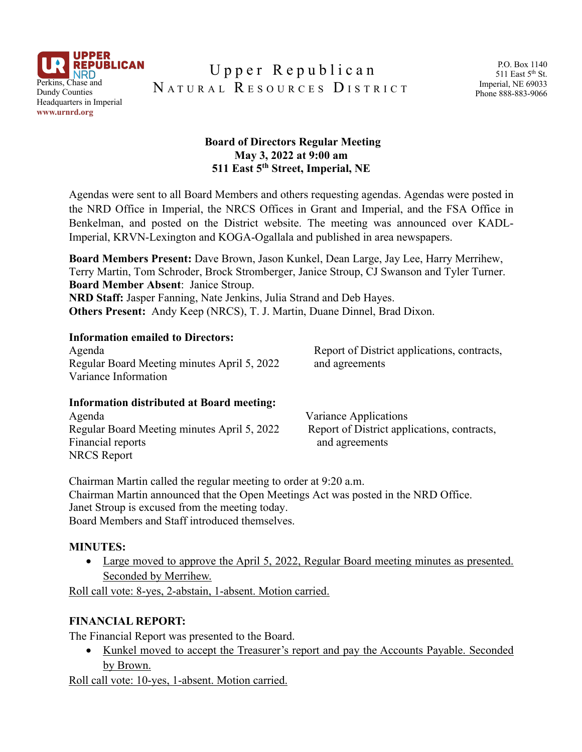

# Upper Republican NATURAL RESOURCES DISTRICT

### **Board of Directors Regular Meeting May 3, 2022 at 9:00 am 511 East 5th Street, Imperial, NE**

Agendas were sent to all Board Members and others requesting agendas. Agendas were posted in the NRD Office in Imperial, the NRCS Offices in Grant and Imperial, and the FSA Office in Benkelman, and posted on the District website. The meeting was announced over KADL-Imperial, KRVN-Lexington and KOGA-Ogallala and published in area newspapers.

**Board Members Present:** Dave Brown, Jason Kunkel, Dean Large, Jay Lee, Harry Merrihew, Terry Martin, Tom Schroder, Brock Stromberger, Janice Stroup, CJ Swanson and Tyler Turner. **Board Member Absent**: Janice Stroup. **NRD Staff:** Jasper Fanning, Nate Jenkins, Julia Strand and Deb Hayes.

**Others Present:** Andy Keep (NRCS), T. J. Martin, Duane Dinnel, Brad Dixon.

#### **Information emailed to Directors:**

Agenda Report of District applications, contracts, Regular Board Meeting minutes April 5, 2022 and agreements Variance Information

#### **Information distributed at Board meeting:**

| Agenda                                      | Variance Applications                       |
|---------------------------------------------|---------------------------------------------|
| Regular Board Meeting minutes April 5, 2022 | Report of District applications, contracts, |
| Financial reports                           | and agreements                              |
| <b>NRCS</b> Report                          |                                             |

Chairman Martin called the regular meeting to order at 9:20 a.m. Chairman Martin announced that the Open Meetings Act was posted in the NRD Office. Janet Stroup is excused from the meeting today. Board Members and Staff introduced themselves.

### **MINUTES:**

• Large moved to approve the April 5, 2022, Regular Board meeting minutes as presented. Seconded by Merrihew.

Roll call vote: 8-yes, 2-abstain, 1-absent. Motion carried.

### **FINANCIAL REPORT:**

The Financial Report was presented to the Board.

• Kunkel moved to accept the Treasurer's report and pay the Accounts Payable. Seconded by Brown.

Roll call vote: 10-yes, 1-absent. Motion carried.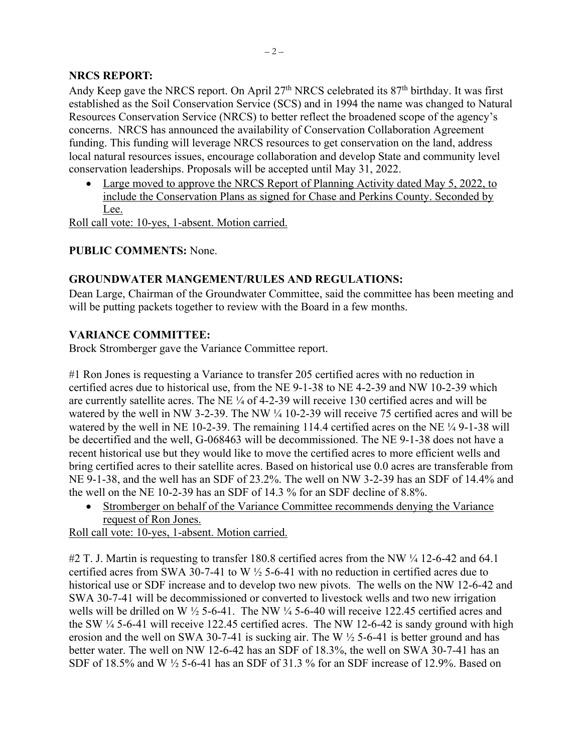### **NRCS REPORT:**

Andy Keep gave the NRCS report. On April 27<sup>th</sup> NRCS celebrated its 87<sup>th</sup> birthday. It was first established as the Soil Conservation Service (SCS) and in 1994 the name was changed to Natural Resources Conservation Service (NRCS) to better reflect the broadened scope of the agency's concerns. NRCS has announced the availability of Conservation Collaboration Agreement funding. This funding will leverage NRCS resources to get conservation on the land, address local natural resources issues, encourage collaboration and develop State and community level conservation leaderships. Proposals will be accepted until May 31, 2022.

• Large moved to approve the NRCS Report of Planning Activity dated May 5, 2022, to include the Conservation Plans as signed for Chase and Perkins County. Seconded by Lee.

Roll call vote: 10-yes, 1-absent. Motion carried.

### **PUBLIC COMMENTS:** None.

### **GROUNDWATER MANGEMENT/RULES AND REGULATIONS:**

Dean Large, Chairman of the Groundwater Committee, said the committee has been meeting and will be putting packets together to review with the Board in a few months.

### **VARIANCE COMMITTEE:**

Brock Stromberger gave the Variance Committee report.

#1 Ron Jones is requesting a Variance to transfer 205 certified acres with no reduction in certified acres due to historical use, from the NE 9-1-38 to NE 4-2-39 and NW 10-2-39 which are currently satellite acres. The NE ¼ of 4-2-39 will receive 130 certified acres and will be watered by the well in NW 3-2-39. The NW  $\frac{1}{4}$  10-2-39 will receive 75 certified acres and will be watered by the well in NE 10-2-39. The remaining 114.4 certified acres on the NE ¼ 9-1-38 will be decertified and the well, G-068463 will be decommissioned. The NE 9-1-38 does not have a recent historical use but they would like to move the certified acres to more efficient wells and bring certified acres to their satellite acres. Based on historical use 0.0 acres are transferable from NE 9-1-38, and the well has an SDF of 23.2%. The well on NW 3-2-39 has an SDF of 14.4% and the well on the NE 10-2-39 has an SDF of 14.3 % for an SDF decline of 8.8%.

• Stromberger on behalf of the Variance Committee recommends denying the Variance request of Ron Jones.

Roll call vote: 10-yes, 1-absent. Motion carried.

#2 T. J. Martin is requesting to transfer 180.8 certified acres from the NW  $\frac{1}{4}$  12-6-42 and 64.1 certified acres from SWA 30-7-41 to W ½ 5-6-41 with no reduction in certified acres due to historical use or SDF increase and to develop two new pivots. The wells on the NW 12-6-42 and SWA 30-7-41 will be decommissioned or converted to livestock wells and two new irrigation wells will be drilled on W ½ 5-6-41. The NW ¼ 5-6-40 will receive 122.45 certified acres and the SW ¼ 5-6-41 will receive 122.45 certified acres. The NW 12-6-42 is sandy ground with high erosion and the well on SWA 30-7-41 is sucking air. The W ½ 5-6-41 is better ground and has better water. The well on NW 12-6-42 has an SDF of 18.3%, the well on SWA 30-7-41 has an SDF of  $18.5\%$  and W  $\frac{1}{2}$  5-6-41 has an SDF of 31.3 % for an SDF increase of 12.9%. Based on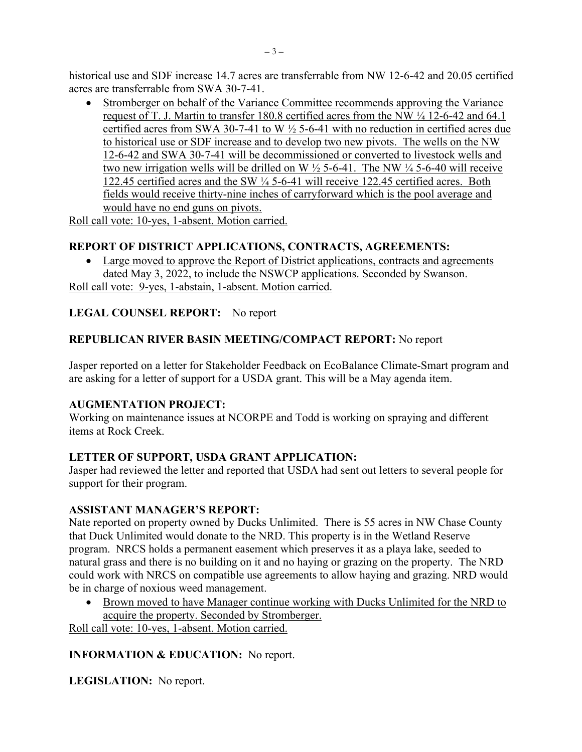historical use and SDF increase 14.7 acres are transferrable from NW 12-6-42 and 20.05 certified acres are transferrable from SWA 30-7-41.

• Stromberger on behalf of the Variance Committee recommends approving the Variance request of T. J. Martin to transfer 180.8 certified acres from the NW ¼ 12-6-42 and 64.1 certified acres from SWA 30-7-41 to W ½ 5-6-41 with no reduction in certified acres due to historical use or SDF increase and to develop two new pivots. The wells on the NW 12-6-42 and SWA 30-7-41 will be decommissioned or converted to livestock wells and two new irrigation wells will be drilled on W  $\frac{1}{2}$  5-6-41. The NW  $\frac{1}{4}$  5-6-40 will receive 122.45 certified acres and the SW ¼ 5-6-41 will receive 122.45 certified acres. Both fields would receive thirty-nine inches of carryforward which is the pool average and would have no end guns on pivots.

Roll call vote: 10-yes, 1-absent. Motion carried.

# **REPORT OF DISTRICT APPLICATIONS, CONTRACTS, AGREEMENTS:**

• Large moved to approve the Report of District applications, contracts and agreements dated May 3, 2022, to include the NSWCP applications. Seconded by Swanson.

Roll call vote: 9-yes, 1-abstain, 1-absent. Motion carried.

### **LEGAL COUNSEL REPORT:** No report

### **REPUBLICAN RIVER BASIN MEETING/COMPACT REPORT:** No report

Jasper reported on a letter for Stakeholder Feedback on EcoBalance Climate-Smart program and are asking for a letter of support for a USDA grant. This will be a May agenda item.

### **AUGMENTATION PROJECT:**

Working on maintenance issues at NCORPE and Todd is working on spraying and different items at Rock Creek.

### **LETTER OF SUPPORT, USDA GRANT APPLICATION:**

Jasper had reviewed the letter and reported that USDA had sent out letters to several people for support for their program.

### **ASSISTANT MANAGER'S REPORT:**

Nate reported on property owned by Ducks Unlimited. There is 55 acres in NW Chase County that Duck Unlimited would donate to the NRD. This property is in the Wetland Reserve program. NRCS holds a permanent easement which preserves it as a playa lake, seeded to natural grass and there is no building on it and no haying or grazing on the property. The NRD could work with NRCS on compatible use agreements to allow haying and grazing. NRD would be in charge of noxious weed management.

• Brown moved to have Manager continue working with Ducks Unlimited for the NRD to acquire the property. Seconded by Stromberger.

Roll call vote: 10-yes, 1-absent. Motion carried.

### **INFORMATION & EDUCATION:** No report.

**LEGISLATION:** No report.